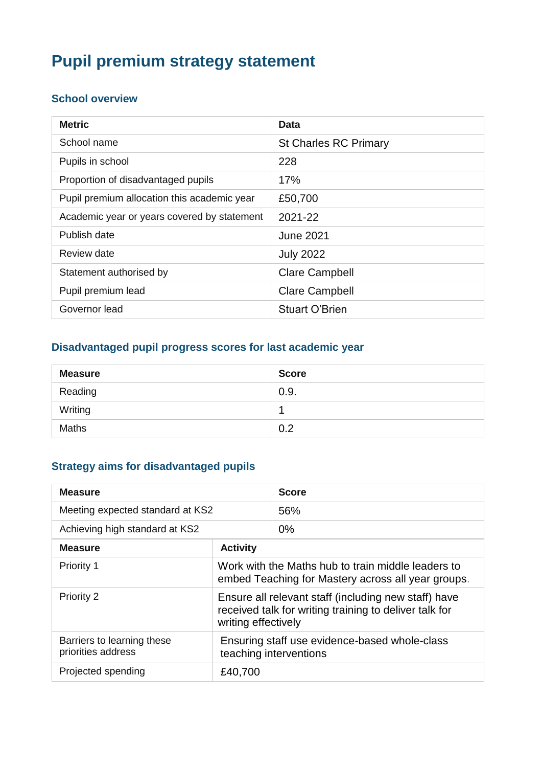# **Pupil premium strategy statement**

## **School overview**

| <b>Metric</b>                               | Data                         |
|---------------------------------------------|------------------------------|
| School name                                 | <b>St Charles RC Primary</b> |
| Pupils in school                            | 228                          |
| Proportion of disadvantaged pupils          | 17%                          |
| Pupil premium allocation this academic year | £50,700                      |
| Academic year or years covered by statement | 2021-22                      |
| Publish date                                | <b>June 2021</b>             |
| Review date                                 | <b>July 2022</b>             |
| Statement authorised by                     | <b>Clare Campbell</b>        |
| Pupil premium lead                          | <b>Clare Campbell</b>        |
| Governor lead                               | <b>Stuart O'Brien</b>        |

## **Disadvantaged pupil progress scores for last academic year**

| <b>Measure</b> | <b>Score</b> |
|----------------|--------------|
| Reading        | 0.9.         |
| Writing        |              |
| <b>Maths</b>   | 0.2          |

#### **Strategy aims for disadvantaged pupils**

| <b>Measure</b>                                   |                                                                                                                                       | <b>Score</b> |
|--------------------------------------------------|---------------------------------------------------------------------------------------------------------------------------------------|--------------|
| Meeting expected standard at KS2                 |                                                                                                                                       | 56%          |
| Achieving high standard at KS2                   |                                                                                                                                       | $0\%$        |
| <b>Measure</b>                                   | <b>Activity</b>                                                                                                                       |              |
| Priority 1                                       | Work with the Maths hub to train middle leaders to<br>embed Teaching for Mastery across all year groups.                              |              |
| Priority 2                                       | Ensure all relevant staff (including new staff) have<br>received talk for writing training to deliver talk for<br>writing effectively |              |
| Barriers to learning these<br>priorities address | Ensuring staff use evidence-based whole-class<br>teaching interventions                                                               |              |
| Projected spending                               | £40,700                                                                                                                               |              |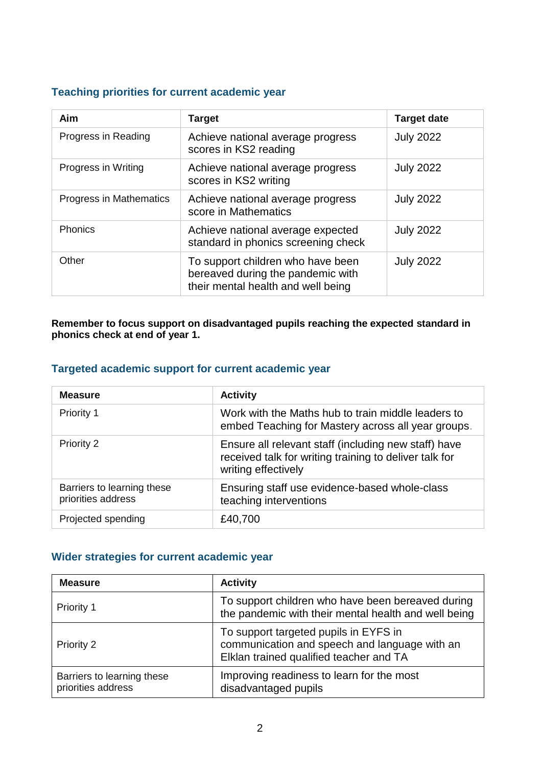#### **Teaching priorities for current academic year**

| Aim                     | <b>Target</b>                                                                                                | <b>Target date</b> |
|-------------------------|--------------------------------------------------------------------------------------------------------------|--------------------|
| Progress in Reading     | Achieve national average progress<br>scores in KS2 reading                                                   | <b>July 2022</b>   |
| Progress in Writing     | Achieve national average progress<br>scores in KS2 writing                                                   | <b>July 2022</b>   |
| Progress in Mathematics | Achieve national average progress<br>score in Mathematics                                                    | <b>July 2022</b>   |
| Phonics                 | Achieve national average expected<br>standard in phonics screening check                                     | <b>July 2022</b>   |
| Other                   | To support children who have been<br>bereaved during the pandemic with<br>their mental health and well being | <b>July 2022</b>   |

**Remember to focus support on disadvantaged pupils reaching the expected standard in phonics check at end of year 1.**

#### **Targeted academic support for current academic year**

| <b>Measure</b>                                   | <b>Activity</b>                                                                                                                       |
|--------------------------------------------------|---------------------------------------------------------------------------------------------------------------------------------------|
| Priority 1                                       | Work with the Maths hub to train middle leaders to<br>embed Teaching for Mastery across all year groups.                              |
| Priority 2                                       | Ensure all relevant staff (including new staff) have<br>received talk for writing training to deliver talk for<br>writing effectively |
| Barriers to learning these<br>priorities address | Ensuring staff use evidence-based whole-class<br>teaching interventions                                                               |
| Projected spending                               | £40,700                                                                                                                               |

#### **Wider strategies for current academic year**

| <b>Measure</b>                                   | <b>Activity</b>                                                                                                                   |
|--------------------------------------------------|-----------------------------------------------------------------------------------------------------------------------------------|
| <b>Priority 1</b>                                | To support children who have been bereaved during<br>the pandemic with their mental health and well being                         |
| <b>Priority 2</b>                                | To support targeted pupils in EYFS in<br>communication and speech and language with an<br>Elklan trained qualified teacher and TA |
| Barriers to learning these<br>priorities address | Improving readiness to learn for the most<br>disadvantaged pupils                                                                 |